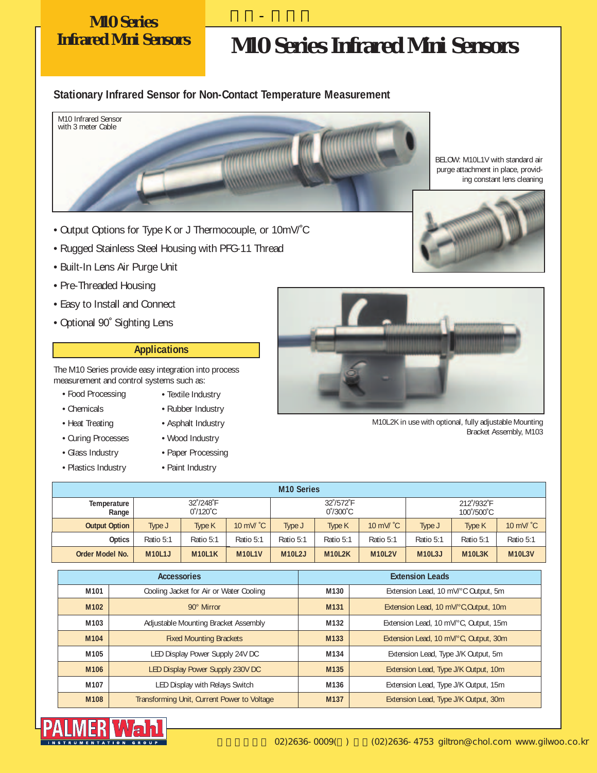## **M10 Series**

## **Infrared Mini Sensors M10 Series Infrared Mini Sensors**

#### **Stationary Infrared Sensor for Non-Contact Temperature Measurement**



길우-팔머왈

BELOW: M10L1V with standard air purge attachment in place, providing constant lens cleaning



- Rugged Stainless Steel Housing with PFG-11 Thread
- Built-In Lens Air Purge Unit
- Pre-Threaded Housing
- Easy to Install and Connect
- Optional 90˚ Sighting Lens

#### **Applications**

The M10 Series provide easy integration into process measurement and control systems such as:

- Food Processing
- Chemicals
- Heat Treating
- Curing Processes
- Glass Industry
- Plastics Industry
- Rubber Industry • Asphalt Industry

• Textile Industry

- Wood Industry
- Paper Processing
- Paint Industry



M10L2K in use with optional, fully adjustable Mounting Bracket Assembly, M103

| <b>M10 Series</b>    |                                        |               |                     |                                        |               |                     |                          |                                  |                     |
|----------------------|----------------------------------------|---------------|---------------------|----------------------------------------|---------------|---------------------|--------------------------|----------------------------------|---------------------|
| Temperature<br>Range | 32°/248°F<br>$0^{\circ}/120^{\circ}$ C |               |                     | 32°/572°F<br>$0^{\circ}/300^{\circ}$ C |               |                     | 212°/932°F<br>100°/500°C |                                  |                     |
| <b>Output Option</b> | Type J                                 | Type K        | 10 mV/ $^{\circ}$ C | Type J                                 | <b>Type K</b> | 10 mV/ $^{\circ}$ C | Type J                   | Type K                           | 10 mV/ $^{\circ}$ C |
| Optics               | Ratio 5:1                              | Ratio 5:1     | Ratio 5:1           | Ratio 5:1                              | Ratio 5:1     | Ratio 5:1           | Ratio 5:1                | Ratio 5:1                        | Ratio 5:1           |
| Order Model No.      | <b>M10L1J</b>                          | <b>M10L1K</b> | <b>M10L1V</b>       | <b>M10L2J</b>                          | <b>M10L2K</b> | <b>M10L2V</b>       | <b>M10L3J</b>            | M <sub>10</sub> L <sub>3</sub> K | <b>M10L3V</b>       |

|                  | <b>Accessories</b>                          | <b>Extension Leads</b> |                                       |  |  |
|------------------|---------------------------------------------|------------------------|---------------------------------------|--|--|
| M101             | Cooling Jacket for Air or Water Cooling     | M130                   | Extension Lead, 10 mV/°C Output, 5m   |  |  |
| M <sub>102</sub> | 90° Mirror                                  | M131                   | Extension Lead, 10 mV/°C, Output, 10m |  |  |
| M103             | Adjustable Mounting Bracket Assembly        | M132                   | Extension Lead, 10 mV/°C, Output, 15m |  |  |
| M104             | <b>Fixed Mounting Brackets</b>              | M133                   | Extension Lead, 10 mV/°C, Output, 30m |  |  |
| M105             | LED Display Power Supply 24V DC             | M134                   | Extension Lead, Type J/K Output, 5m   |  |  |
| M106             | LED Display Power Supply 230V DC            | M135                   | Extension Lead, Type J/K Output, 10m  |  |  |
| M107             | LED Display with Relays Switch              | M136                   | Extension Lead, Type J/K Output, 15m  |  |  |
| M108             | Transforming Unit, Current Power to Voltage | M137                   | Extension Lead, Type J/K Output, 30m  |  |  |

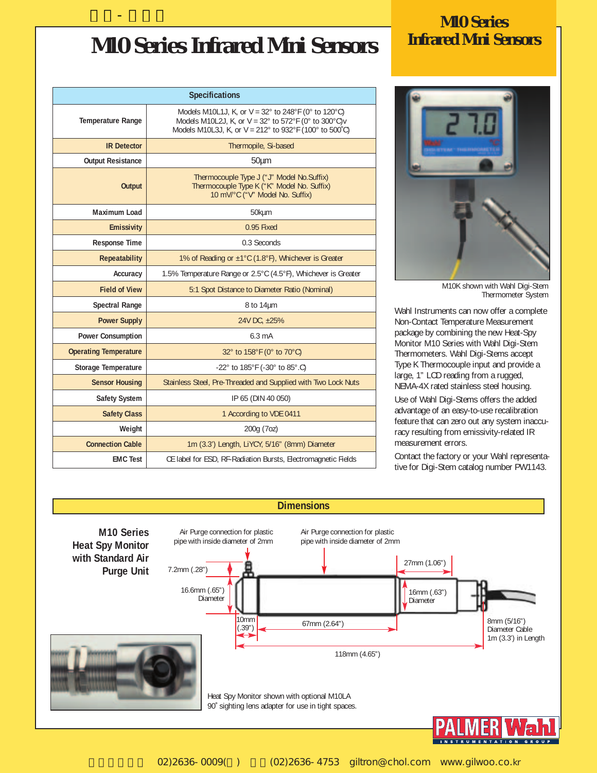## **M10 Series Infrared Mini Sensors Infrared Mini Sensors**

길우-팔머왈

| <b>Specifications</b>        |                                                                                                                                                                                       |  |  |  |  |  |
|------------------------------|---------------------------------------------------------------------------------------------------------------------------------------------------------------------------------------|--|--|--|--|--|
| <b>Temperature Range</b>     | Models M10L1J, K, or $V = 32^{\circ}$ to 248°F (0° to 120°C)<br>Models M10L2J, K, or $V = 32^\circ$ to 572°F (0° to 300°C)v<br>Models M10L3J, K, or V = 212° to 932°F (100° to 500°C) |  |  |  |  |  |
| <b>IR Detector</b>           | Thermopile, Si-based                                                                                                                                                                  |  |  |  |  |  |
| <b>Output Resistance</b>     | $50 \mu m$                                                                                                                                                                            |  |  |  |  |  |
| <b>Output</b>                | Thermocouple Type J ("J" Model No.Suffix)<br>Thermocouple Type K ("K" Model No. Suffix)<br>10 mV/°C ("V" Model No. Suffix)                                                            |  |  |  |  |  |
| Maximum Load                 | 50kµm                                                                                                                                                                                 |  |  |  |  |  |
| <b>Emissivity</b>            | 0.95 Fixed                                                                                                                                                                            |  |  |  |  |  |
| <b>Response Time</b>         | 0.3 Seconds                                                                                                                                                                           |  |  |  |  |  |
| <b>Repeatability</b>         | 1% of Reading or ±1°C (1.8°F), Whichever is Greater                                                                                                                                   |  |  |  |  |  |
| Accuracy                     | 1.5% Temperature Range or 2.5°C (4.5°F), Whichever is Greater                                                                                                                         |  |  |  |  |  |
| <b>Field of View</b>         | 5:1 Spot Distance to Diameter Ratio (Nominal)                                                                                                                                         |  |  |  |  |  |
| <b>Spectral Range</b>        | $8$ to 14 $\mu$ m                                                                                                                                                                     |  |  |  |  |  |
| <b>Power Supply</b>          | 24V DC, ±25%                                                                                                                                                                          |  |  |  |  |  |
| <b>Power Consumption</b>     | $6.3 \text{ mA}$                                                                                                                                                                      |  |  |  |  |  |
| <b>Operating Temperature</b> | 32° to 158°F (0° to 70°C)                                                                                                                                                             |  |  |  |  |  |
| <b>Storage Temperature</b>   | -22° to 185°F (-30° to 85°.C)                                                                                                                                                         |  |  |  |  |  |
| <b>Sensor Housing</b>        | Stainless Steel, Pre-Threaded and Supplied with Two Lock Nuts                                                                                                                         |  |  |  |  |  |
| <b>Safety System</b>         | IP 65 (DIN 40 050)                                                                                                                                                                    |  |  |  |  |  |
| <b>Safety Class</b>          | 1 According to VDE 0411                                                                                                                                                               |  |  |  |  |  |
| Weight                       | 200g (7oz)                                                                                                                                                                            |  |  |  |  |  |
| <b>Connection Cable</b>      | 1m (3.3') Length, LiYCY, 5/16" (8mm) Diameter                                                                                                                                         |  |  |  |  |  |
| <b>EMC Test</b>              | CE label for ESD, RF-Radiation Bursts, Electromagnetic Fields                                                                                                                         |  |  |  |  |  |

# **M10 Series**



M10K shown with Wahl Digi-Stem Thermometer System

Wahl Instruments can now offer a complete Non-Contact Temperature Measurement package by combining the new Heat-Spy Monitor M10 Series with Wahl Digi-Stem Thermometers. Wahl Digi-Stems accept Type K Thermocouple input and provide a large, 1" LCD reading from a rugged, NEMA-4X rated stainless steel housing.

Use of Wahl Digi-Stems offers the added advantage of an easy-to-use recalibration feature that can zero out any system inaccuracy resulting from emissivity-related IR measurement errors.

Contact the factory or your Wahl representative for Digi-Stem catalog number PW1143.



02)2636-0009() (02)2636-4753 giltron@chol.com www.gilwoo.co.kr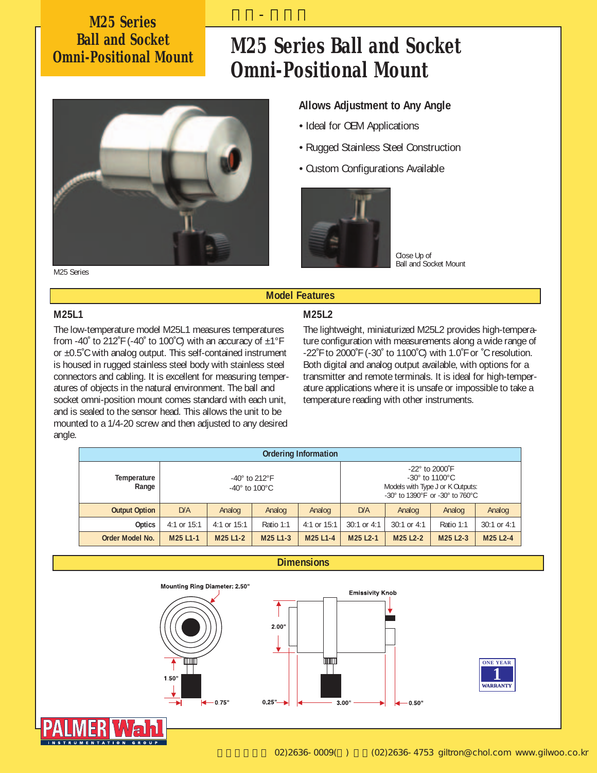### **M25 Series Ball and Socket**

### **Omni-Positional Mount M25 Series Ball and Socket Omni-Positional Mount**



#### **Allows Adjustment to Any Angle**

- Ideal for OEM Applications
- Rugged Stainless Steel Construction
- Custom Configurations Available



Close Up of Ball and Socket Mount

#### **M25L1**

The low-temperature model M25L1 measures temperatures from -40° to 212°F (-40° to 100°C) with an accuracy of  $\pm 1^{\circ}$ F or ±0.5˚C with analog output. This self-contained instrument is housed in rugged stainless steel body with stainless steel connectors and cabling. It is excellent for measuring temperatures of objects in the natural environment. The ball and socket omni-position mount comes standard with each unit, and is sealed to the sensor head. This allows the unit to be mounted to a 1/4-20 screw and then adjusted to any desired angle.

#### **M25L2**

**Model Features**

길우-팔머왈

The lightweight, miniaturized M25L2 provides high-temperature configuration with measurements along a wide range of -22˚F to 2000˚F (-30˚ to 1100˚C) with 1.0˚F or ˚C resolution. Both digital and analog output available, with options for a transmitter and remote terminals. It is ideal for high-temperature applications where it is unsafe or impossible to take a temperature reading with other instruments.

| <b>Ordering Information</b> |               |                                                                |                                   |               |                                                                                                                                                              |                                   |                                   |               |  |  |
|-----------------------------|---------------|----------------------------------------------------------------|-----------------------------------|---------------|--------------------------------------------------------------------------------------------------------------------------------------------------------------|-----------------------------------|-----------------------------------|---------------|--|--|
| Temperature<br>Range        |               | $-40^\circ$ to 212 $\degree$ F<br>$-40^\circ$ to $100^\circ$ C |                                   |               | $-22^{\circ}$ to 2000 $\degree$ F<br>$-30^\circ$ to 1100 $^\circ$ C<br>Models with Type J or K Outputs:<br>$-30^{\circ}$ to 1390°F or $-30^{\circ}$ to 760°C |                                   |                                   |               |  |  |
| <b>Output Option</b>        | D/A           | Analog                                                         | Analog                            | Analog        | D/A                                                                                                                                                          | Analog                            | Analog                            | Analog        |  |  |
| Optics                      | 4:1 or $15:1$ | 4:1 or $15:1$                                                  | Ratio 1:1                         | 4:1 or $15:1$ | $30:1$ or 4:1                                                                                                                                                | $30:1$ or 4:1                     | Ratio 1:1                         | $30:1$ or 4:1 |  |  |
| Order Model No.             | M25 L1-1      | M <sub>25</sub> L <sub>1</sub> -2                              | M <sub>25</sub> L <sub>1</sub> -3 | M25 L1-4      | M25 L2-1                                                                                                                                                     | M <sub>25</sub> L <sub>2</sub> -2 | M <sub>25</sub> L <sub>2</sub> -3 | M25 L2-4      |  |  |



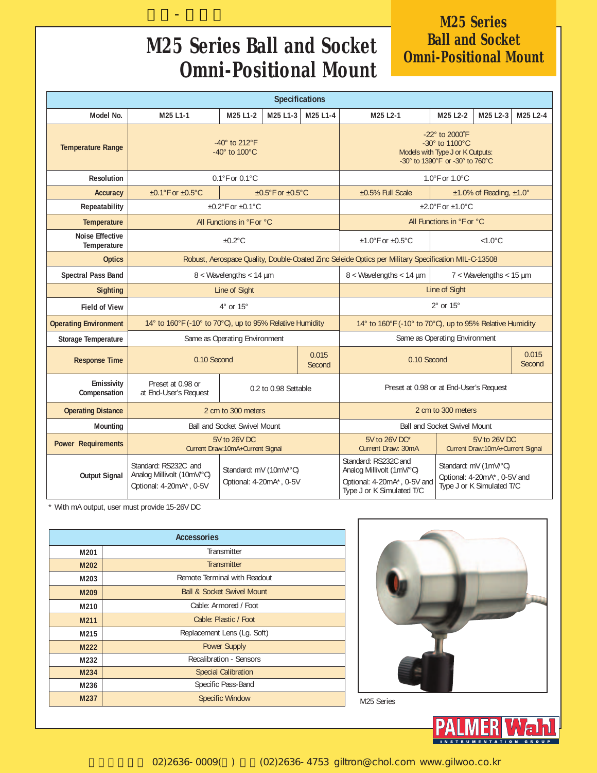### **M25 Series Ball and Socket Omni-Positional Mount**

길우-팔머왈

### **M25 Series Ball and Socket<br>Omni-Positional Mount**

| <b>Specifications</b>                 |                                                                                                     |                                                                                                                                                                     |                              |                                                                                       |                                                                                         |                                     |                                   |                 |  |
|---------------------------------------|-----------------------------------------------------------------------------------------------------|---------------------------------------------------------------------------------------------------------------------------------------------------------------------|------------------------------|---------------------------------------------------------------------------------------|-----------------------------------------------------------------------------------------|-------------------------------------|-----------------------------------|-----------------|--|
| Model No.                             | M25 L1-1<br>M25 L1-2<br>M25 L1-3<br>M25 L1-4                                                        |                                                                                                                                                                     |                              | M25 L2-1                                                                              | M25 L2-2                                                                                | M25 L2-3                            | M25 L2-4                          |                 |  |
| <b>Temperature Range</b>              | -40 $^{\circ}$ to 212 $^{\circ}$ F<br>-40 $^{\circ}$ to 100 $^{\circ}$ C                            | -22° to 2000°F<br>$-30^\circ$ to 1100 $^{\circ}$ C<br>Models with Type J or K Outputs:<br>-30 $^{\circ}$ to 1390 $^{\circ}$ F or -30 $^{\circ}$ to 760 $^{\circ}$ C |                              |                                                                                       |                                                                                         |                                     |                                   |                 |  |
| <b>Resolution</b>                     |                                                                                                     | $0.1^{\circ}$ F or $0.1^{\circ}$ C                                                                                                                                  |                              |                                                                                       |                                                                                         | 1.0°F or 1.0°C                      |                                   |                 |  |
| Accuracy                              | $\pm 0.1$ °F or $\pm 0.5$ °C                                                                        |                                                                                                                                                                     | $\pm 0.5$ °F or $\pm 0.5$ °C |                                                                                       | ±0.5% Full Scale                                                                        |                                     | $±1.0\%$ of Reading, $±1.0^\circ$ |                 |  |
| Repeatability                         |                                                                                                     | $\pm$ 0.2°F or $\pm$ 0.1°C                                                                                                                                          |                              |                                                                                       |                                                                                         | $\pm 2.0$ °F or $\pm 1.0$ °C        |                                   |                 |  |
| <b>Temperature</b>                    |                                                                                                     | All Functions in °F or °C                                                                                                                                           |                              |                                                                                       |                                                                                         | All Functions in °F or °C           |                                   |                 |  |
| <b>Noise Effective</b><br>Temperature | $±1.0$ °F or $±0.5$ °C<br>$±0.2$ °C                                                                 |                                                                                                                                                                     |                              |                                                                                       |                                                                                         | $<1.0^{\circ}$ C                    |                                   |                 |  |
| <b>Optics</b>                         | Robust, Aerospace Quality, Double-Coated Zinc Seleide Optics per Military Specification MIL-C-13508 |                                                                                                                                                                     |                              |                                                                                       |                                                                                         |                                     |                                   |                 |  |
| <b>Spectral Pass Band</b>             |                                                                                                     | $8 <$ Wavelengths $<$ 14 µm                                                                                                                                         |                              |                                                                                       | $8 <$ Wavelengths $<$ 14 µm                                                             |                                     | $7 <$ Wavelengths $<$ 15 µm       |                 |  |
| <b>Sighting</b>                       |                                                                                                     | Line of Sight                                                                                                                                                       |                              |                                                                                       |                                                                                         | Line of Sight                       |                                   |                 |  |
| <b>Field of View</b>                  |                                                                                                     | $4^{\circ}$ or $15^{\circ}$                                                                                                                                         |                              |                                                                                       | $2^{\circ}$ or $15^{\circ}$                                                             |                                     |                                   |                 |  |
| <b>Operating Environment</b>          | 14° to 160°F (-10° to 70°C), up to 95% Relative Humidity                                            |                                                                                                                                                                     |                              |                                                                                       | 14° to 160°F (-10° to 70°C), up to 95% Relative Humidity                                |                                     |                                   |                 |  |
| <b>Storage Temperature</b>            |                                                                                                     | Same as Operating Environment                                                                                                                                       |                              |                                                                                       |                                                                                         | Same as Operating Environment       |                                   |                 |  |
| <b>Response Time</b>                  | 0.10 Second                                                                                         |                                                                                                                                                                     |                              | 0.015<br>Second                                                                       | 0.10 Second                                                                             |                                     |                                   | 0.015<br>Second |  |
| Emissivity<br>Compensation            | Preset at 0.98 or<br>at End-User's Request                                                          |                                                                                                                                                                     | 0.2 to 0.98 Settable         |                                                                                       | Preset at 0.98 or at End-User's Request                                                 |                                     |                                   |                 |  |
| <b>Operating Distance</b>             |                                                                                                     | 2 cm to 300 meters                                                                                                                                                  |                              |                                                                                       | 2 cm to 300 meters                                                                      |                                     |                                   |                 |  |
| <b>Mounting</b>                       |                                                                                                     | <b>Ball and Socket Swivel Mount</b>                                                                                                                                 |                              |                                                                                       |                                                                                         | <b>Ball and Socket Swivel Mount</b> |                                   |                 |  |
| <b>Power Requirements</b>             |                                                                                                     | 5V to 26V DC<br>Current Draw:10mA+Current Signal                                                                                                                    |                              |                                                                                       | 5V to 26V DC*<br>5V to 26V DC<br>Current Draw: 30mA<br>Current Draw:10mA+Current Signal |                                     |                                   |                 |  |
| <b>Output Signal</b>                  | Standard: RS232C and<br>Analog Millivolt (10mV/°C)<br>Optional: 4-20mA*, 0-5V                       | Standard: RS232C and<br>Standard: mV (10mV/°C)<br>Optional: 4-20mA*, 0-5V                                                                                           |                              | Analog Millivolt (1mV/°C)<br>Optional: 4-20mA*, 0-5V and<br>Type J or K Simulated T/C | Standard: mV (1mV/°C)<br>Optional: 4-20mA*, 0-5V and<br>Type J or K Simulated T/C       |                                     |                                   |                 |  |

\* With mA output, user must provide 15-26V DC

|      | <b>Accessories</b>                    |  |  |  |  |  |
|------|---------------------------------------|--|--|--|--|--|
| M201 | Transmitter                           |  |  |  |  |  |
| M202 | <b>Transmitter</b>                    |  |  |  |  |  |
| M203 | Remote Terminal with Readout          |  |  |  |  |  |
| M209 | <b>Ball &amp; Socket Swivel Mount</b> |  |  |  |  |  |
| M210 | Cable: Armored / Foot                 |  |  |  |  |  |
| M211 | Cable: Plastic / Foot                 |  |  |  |  |  |
| M215 | Replacement Lens (Lg. Soft)           |  |  |  |  |  |
| M222 | <b>Power Supply</b>                   |  |  |  |  |  |
| M232 | <b>Recalibration - Sensors</b>        |  |  |  |  |  |
| M234 | <b>Special Calibration</b>            |  |  |  |  |  |
| M236 | Specific Pass-Band                    |  |  |  |  |  |
| M237 | <b>Specific Window</b>                |  |  |  |  |  |



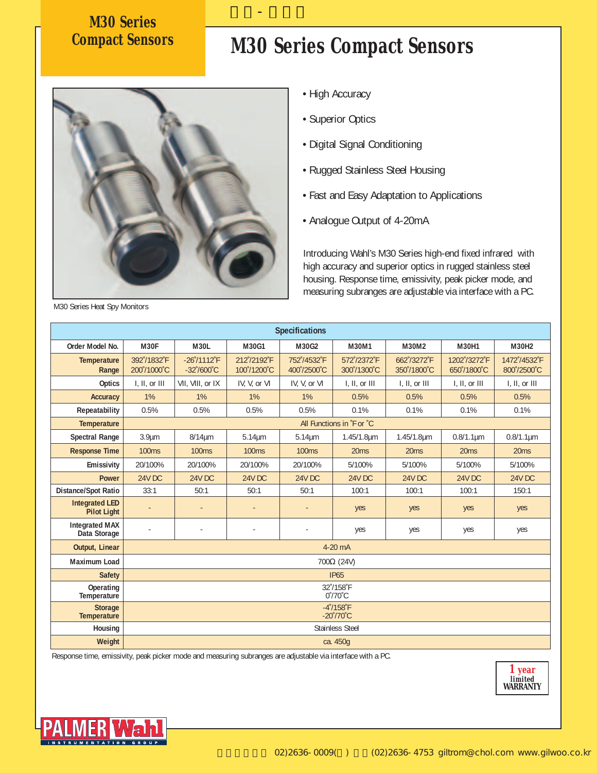# **M30 Series**

### **Compact Sensors M30 Series Compact Sensors**



• High Accuracy

길우-팔머왈

- Superior Optics
- Digital Signal Conditioning
- Rugged Stainless Steel Housing
- Fast and Easy Adaptation to Applications
- Analogue Output of 4-20mA

Introducing Wahl's M30 Series high-end fixed infrared with high accuracy and superior optics in rugged stainless steel housing. Response time, emissivity, peak picker mode, and measuring subranges are adjustable via interface with a PC.

|                                             | <b>Specifications</b>      |                                               |                            |                            |                                                         |                            |                             |                             |  |  |  |
|---------------------------------------------|----------------------------|-----------------------------------------------|----------------------------|----------------------------|---------------------------------------------------------|----------------------------|-----------------------------|-----------------------------|--|--|--|
| Order Model No.                             | M30F                       | <b>M30L</b>                                   | M30G1                      | M30G2                      | M30M1                                                   | M30M2                      | M30H1                       | <b>M30H2</b>                |  |  |  |
| <b>Temperature</b><br>Range                 | 392°/1832°F<br>200°/1000°C | $-26'$ /1112°F<br>$-32^{\circ}/600^{\circ}$ C | 212°/2192°F<br>100°/1200°C | 752°/4532°F<br>400°/2500°C | 572°/2372°F<br>300°/1300°C                              | 662°/3272°F<br>350°/1800°C | 1202°/3272°F<br>650°/1800°C | 1472°/4532°F<br>800°/2500°C |  |  |  |
| <b>Optics</b>                               | I, II, or III              | VII, VIII, or IX                              | IV, V, or VI               | IV, V, or VI               | I, II, or III                                           | I, II, or III              | I, II, or III               | I, II, or III               |  |  |  |
| <b>Accuracy</b>                             | 1%                         | 1%                                            | 1%                         | 1%                         | 0.5%                                                    | 0.5%                       | 0.5%                        | 0.5%                        |  |  |  |
| Repeatability                               | 0.5%                       | 0.5%                                          | 0.5%                       | 0.5%                       | 0.1%                                                    | 0.1%                       | 0.1%                        | 0.1%                        |  |  |  |
| <b>Temperature</b>                          |                            |                                               |                            |                            | All Functions in 'F or 'C                               |                            |                             |                             |  |  |  |
| <b>Spectral Range</b>                       | 3.9 <sub>µm</sub>          | $8/14 \mu m$                                  | $5.14 \mu m$               | $5.14 \mu m$               | 1.45/1.8µm                                              | 1.45/1.8um                 | $0.8/1.1 \mu m$             | $0.8/1.1 \mu m$             |  |  |  |
| <b>Response Time</b>                        | <b>100ms</b>               | <b>100ms</b>                                  | <b>100ms</b>               | <b>100ms</b>               | 20 <sub>ms</sub>                                        | 20 <sub>ms</sub>           | 20 <sub>ms</sub>            | 20ms                        |  |  |  |
| <b>Emissivity</b>                           | 20/100%                    | 20/100%                                       | 20/100%                    | 20/100%                    | 5/100%                                                  | 5/100%                     | 5/100%                      | 5/100%                      |  |  |  |
| <b>Power</b>                                | <b>24V DC</b>              | <b>24V DC</b>                                 | <b>24V DC</b>              | <b>24V DC</b>              | <b>24V DC</b>                                           | <b>24V DC</b>              | <b>24V DC</b>               | <b>24V DC</b>               |  |  |  |
| <b>Distance/Spot Ratio</b>                  | 33:1                       | 50:1                                          | 50:1                       | 50:1                       | 100:1                                                   | 100:1                      | 100:1                       | 150:1                       |  |  |  |
| <b>Integrated LED</b><br><b>Pilot Light</b> |                            |                                               |                            |                            | yes                                                     | yes                        | yes                         | yes                         |  |  |  |
| <b>Integrated MAX</b><br>Data Storage       | ÷,                         | ÷,                                            |                            | $\sim$                     | yes                                                     | yes                        | yes                         | yes                         |  |  |  |
| Output, Linear                              |                            |                                               |                            |                            | $4-20$ mA                                               |                            |                             |                             |  |  |  |
| <b>Maximum Load</b>                         |                            |                                               |                            |                            | $700\Omega$ (24V)                                       |                            |                             |                             |  |  |  |
| <b>Safety</b>                               |                            |                                               |                            |                            | <b>IP65</b>                                             |                            |                             |                             |  |  |  |
| Operating<br>Temperature                    |                            | 32°/158°F<br>$0^{\circ}/70^{\circ}$ C         |                            |                            |                                                         |                            |                             |                             |  |  |  |
| <b>Storage</b><br><b>Temperature</b>        |                            |                                               |                            |                            | $-4^{\circ}/158^{\circ}F$<br>$-20^{\circ}/70^{\circ}$ C |                            |                             |                             |  |  |  |
| Housing                                     |                            |                                               |                            |                            | <b>Stainless Steel</b>                                  |                            |                             |                             |  |  |  |
| Weight                                      |                            |                                               |                            |                            | ca. 450q                                                |                            |                             |                             |  |  |  |

Response time, emissivity, peak picker mode and measuring subranges are adjustable via interface with a PC.



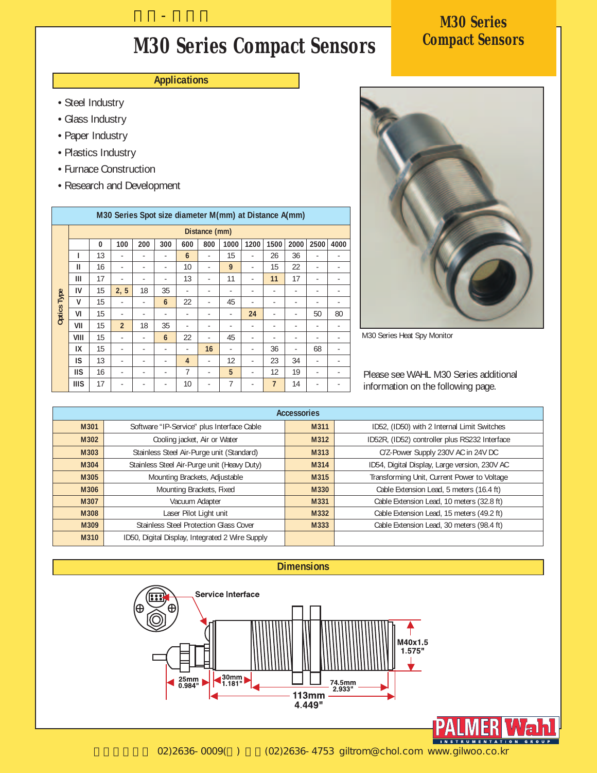### **Compact Sensors M30 Series Compact Sensors**

#### **Applications**

길우-팔머왈

- Steel Industry
- Glass Industry
- Paper Industry
- Plastics Industry
- Furnace Construction
- Research and Development

| M30 Series Spot size diameter M(mm) at Distance A(mm) |               |    |                          |     |                          |                |     |      |      |                |      |      |      |
|-------------------------------------------------------|---------------|----|--------------------------|-----|--------------------------|----------------|-----|------|------|----------------|------|------|------|
|                                                       | Distance (mm) |    |                          |     |                          |                |     |      |      |                |      |      |      |
|                                                       |               | 0  | 100                      | 200 | 300                      | 600            | 800 | 1000 | 1200 | 1500           | 2000 | 2500 | 4000 |
|                                                       | ı             | 13 |                          |     |                          | 6              |     | 15   |      | 26             | 36   |      |      |
|                                                       | Ш             | 16 | ٠                        | -   | ٠                        | 10             | ٠   | 9    | ٠    | 15             | 22   | ٠    |      |
|                                                       | Ш             | 17 | $\overline{\phantom{m}}$ | -   | ٠                        | 13             | ٠   | 11   | ٠    | 11             | 17   | ٠    |      |
|                                                       | IV            | 15 | 2, 5                     | 18  | 35                       | ۰              | ٠   | ٠    | -    | -              | ٠    | ٠    |      |
|                                                       | v             | 15 |                          |     | 6                        | 22             | ٠   | 45   |      |                | -    | -    |      |
| <b>Optics Type</b>                                    | VI            | 15 | $\overline{\phantom{m}}$ | ٠   | ٠                        | -              | ٠   | ٠    | 24   | ٠              | ٠    | 50   | 80   |
|                                                       | VII           | 15 | $\overline{2}$           | 18  | 35                       |                | ٠   | ٠    | ۰    | ٠              | ٠    | ۰    |      |
|                                                       | VIII          | 15 | ٠                        | ٠   | 6                        | 22             | ۰   | 45   | ۰    | -              | ٠    | ۰    |      |
|                                                       | IX            | 15 |                          |     | ٠                        |                | 16  |      |      | 36             |      | 68   |      |
|                                                       | IS            | 13 | ٠                        | ٠   | $\overline{\phantom{a}}$ | $\overline{4}$ | ٠   | 12   | ٠    | 23             | 34   | ٠    |      |
|                                                       | <b>IIS</b>    | 16 | $\overline{\phantom{m}}$ | -   | ٠                        | 7              | ٠   | 5    | ۰    | 12             | 19   | ٠    |      |
|                                                       | <b>IIIS</b>   | 17 | ٠                        | ۰   | ٠                        | 10             | ٠   | 7    | ٠    | $\overline{7}$ | 14   | ٠    |      |



M30 Series Heat Spy Monitor

Please see WAHL M30 Series additional information on the following page.

| <b>Accessories</b> |                                                 |      |                                               |  |  |  |  |  |
|--------------------|-------------------------------------------------|------|-----------------------------------------------|--|--|--|--|--|
| M301               | Software "IP-Service" plus Interface Cable      | M311 | ID52, (ID50) with 2 Internal Limit Switches   |  |  |  |  |  |
| M302               | Cooling jacket, Air or Water                    | M312 | ID52R, (ID52) controller plus RS232 Interface |  |  |  |  |  |
| M303               | Stainless Steel Air-Purge unit (Standard)       | M313 | C/Z-Power Supply 230V AC in 24V DC            |  |  |  |  |  |
| M304               | Stainless Steel Air-Purge unit (Heavy Duty)     | M314 | ID54, Digital Display, Large version, 230V AC |  |  |  |  |  |
| M305               | Mounting Brackets, Adjustable                   | M315 | Transforming Unit, Current Power to Voltage   |  |  |  |  |  |
| M306               | Mounting Brackets, Fixed                        | M330 | Cable Extension Lead, 5 meters (16.4 ft)      |  |  |  |  |  |
| M307               | Vacuum Adapter                                  | M331 | Cable Extension Lead, 10 meters (32.8 ft)     |  |  |  |  |  |
| M308               | Laser Pilot Light unit                          | M332 | Cable Extension Lead, 15 meters (49.2 ft)     |  |  |  |  |  |
| M309               | <b>Stainless Steel Protection Glass Cover</b>   | M333 | Cable Extension Lead, 30 meters (98.4 ft)     |  |  |  |  |  |
| M310               | ID50, Digital Display, Integrated 2 Wire Supply |      |                                               |  |  |  |  |  |



## **M30 Series<br>Compact Sensors**

02)2636-0009() (02)2636-4753 giltrom@chol.com www.gilwoo.co.kr